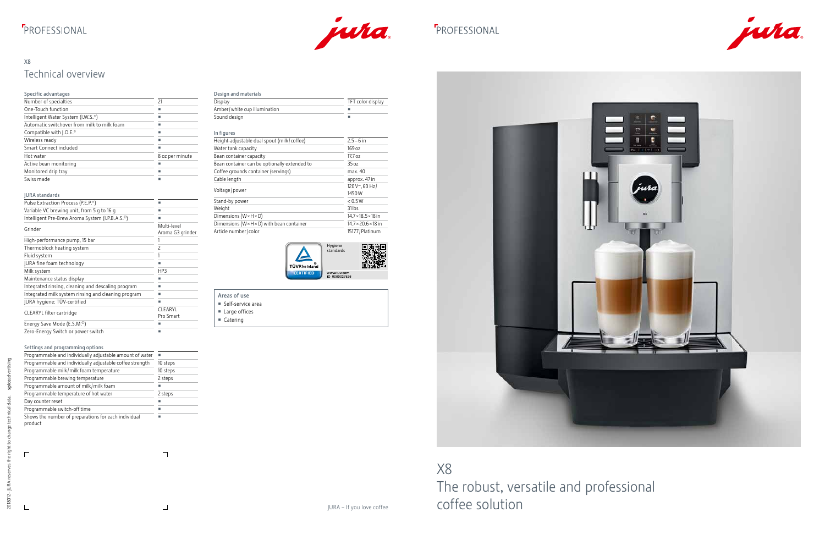## **F**PROFESSIONAL



### **F**PROFESSIONAL

pice<br>D

 $\top$ 

 $\bot$ 

2018012- JURA

 $\overline{\Gamma}$ 



### X8 Technical overview

## X8 The robust, versatile and professional coffee solution

| Specific advantages                         |                 |
|---------------------------------------------|-----------------|
| Number of specialties                       | 21              |
| One-Touch function                          |                 |
| Intelligent Water System (I.W.S.®)          |                 |
| Automatic switchover from milk to milk foam |                 |
| Compatible with [.O.E. <sup>®</sup>         |                 |
| Wireless ready                              |                 |
| Smart Connect included                      |                 |
| Hot water                                   | 8 oz per minute |
| Active bean monitoring                      |                 |
| Monitored drip tray                         |                 |
| Swiss made                                  |                 |

| <b>JURA</b> standards                                        |                                 |
|--------------------------------------------------------------|---------------------------------|
| Pulse Extraction Process (P.E.P. <sup>®</sup> )              | п                               |
| Variable VC brewing unit, from 5 g to 16 g                   |                                 |
| Intelligent Pre-Brew Aroma System (I.P.B.A.S. <sup>o</sup> ) | ■                               |
| Grinder                                                      | Multi-level<br>Aroma G3 grinder |
| High-performance pump, 15 bar                                |                                 |
| Thermoblock heating system                                   | 2                               |
| Fluid system                                                 |                                 |
| JURA fine foam technology                                    | ■                               |
| Milk system                                                  | HP3                             |
| Maintenance status display                                   |                                 |
| Integrated rinsing, cleaning and descaling program           |                                 |
| Integrated milk system rinsing and cleaning program          |                                 |
| JURA hygiene: TÜV-certified                                  |                                 |
| CLEARYL filter cartridge                                     | CLEARYL<br>Pro Smart            |
| Energy Save Mode (E.S.M. <sup>o</sup> )                      |                                 |
| Zero-Energy Switch or power switch                           |                                 |

#### Settings and programming options

| Programmable and individually adjustable amount of water        |          |
|-----------------------------------------------------------------|----------|
| Programmable and individually adjustable coffee strength        | 10 steps |
| Programmable milk/milk foam temperature                         | 10 steps |
| Programmable brewing temperature                                | 2 steps  |
| Programmable amount of milk/milk foam                           |          |
| Programmable temperature of hot water                           | 2 steps  |
| Day counter reset                                               |          |
| Programmable switch-off time                                    |          |
| Shows the number of preparations for each individual<br>product |          |

| Design and materials         |                   |
|------------------------------|-------------------|
| Display                      | TFT color display |
| Amber/white cup illumination |                   |
| Sound design                 |                   |

| In figures                                               |                                 |
|----------------------------------------------------------|---------------------------------|
| Height-adjustable dual spout (milk/coffee)               | $2.5 - 6$ in                    |
| Water tank capacity                                      | 169 oz                          |
| Bean container capacity                                  | 17.7 oz                         |
| Bean container can be optionally extended to             | 35 oz                           |
| Coffee grounds container (servings)                      | max. 40                         |
| Cable length                                             | approx. 47 in                   |
| Voltage/power                                            | 120 V~, 60 Hz/<br>1450W         |
| Stand-by power                                           | < 0.5W                          |
| Weight                                                   | 31 <sub>lbs</sub>               |
| Dimensions ( $W \times H \times D$ )                     | $14.7 \times 18.5 \times 18$ in |
| Dimensions ( $W \times H \times D$ ) with bean container | $14.7 \times 20.6 \times 18$ in |
| Article number/color                                     | 15177 / Platinum                |



| Areas of use                 |  |
|------------------------------|--|
| Self-service area            |  |
| $\blacksquare$ Large offices |  |

- Catering
-